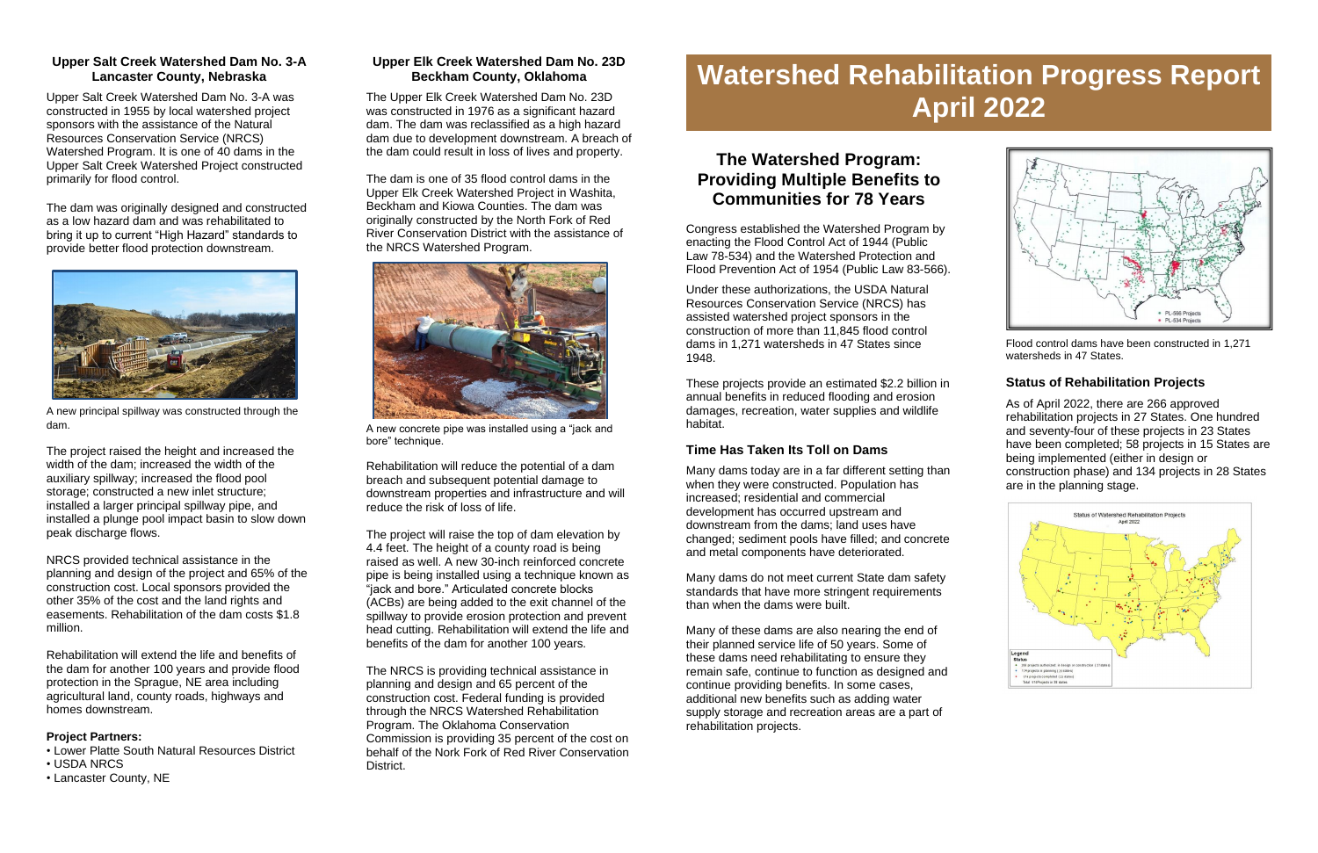#### **Upper Salt Creek Watershed Dam No. 3-A Lancaster County, Nebraska**

Upper Salt Creek Watershed Dam No. 3-A was constructed in 1955 by local watershed project sponsors with the assistance of the Natural Resources Conservation Service (NRCS) Watershed Program. It is one of 40 dams in the Upper Salt Creek Watershed Project constructed primarily for flood control.

The dam was originally designed and constructed as a low hazard dam and was rehabilitated to bring it up to current "High Hazard" standards to provide better flood protection downstream.



A new principal spillway was constructed through the dam.

The project raised the height and increased the width of the dam; increased the width of the auxiliary spillway; increased the flood pool storage; constructed a new inlet structure; installed a larger principal spillway pipe, and installed a plunge pool impact basin to slow down peak discharge flows.



A new concrete pipe was installed using a "jack and bore" technique.

NRCS provided technical assistance in the planning and design of the project and 65% of the construction cost. Local sponsors provided the other 35% of the cost and the land rights and easements. Rehabilitation of the dam costs \$1.8 million.

Rehabilitation will extend the life and benefits of the dam for another 100 years and provide flood protection in the Sprague, NE area including agricultural land, county roads, highways and homes downstream.

#### **Project Partners:**

- Lower Platte South Natural Resources District
- USDA NRCS
- Lancaster County, NE

# **Upper Elk Creek Watershed Dam No. 23D Beckham County, Oklahoma**

# **The Watershed Program: Providing Multiple Benefits to Communities for 78 Years**

The Upper Elk Creek Watershed Dam No. 23D was constructed in 1976 as a significant hazard dam. The dam was reclassified as a high hazard dam due to development downstream. A breach of the dam could result in loss of lives and property.

The dam is one of 35 flood control dams in the Upper Elk Creek Watershed Project in Washita, Beckham and Kiowa Counties. The dam was originally constructed by the North Fork of Red River Conservation District with the assistance of the NRCS Watershed Program.

Rehabilitation will reduce the potential of a dam breach and subsequent potential damage to downstream properties and infrastructure and will reduce the risk of loss of life.

The project will raise the top of dam elevation by 4.4 feet. The height of a county road is being raised as well. A new 30-inch reinforced concrete pipe is being installed using a technique known as "jack and bore." Articulated concrete blocks (ACBs) are being added to the exit channel of the spillway to provide erosion protection and prevent head cutting. Rehabilitation will extend the life and benefits of the dam for another 100 years.

The NRCS is providing technical assistance in planning and design and 65 percent of the construction cost. Federal funding is provided through the NRCS Watershed Rehabilitation Program. The Oklahoma Conservation Commission is providing 35 percent of the cost on behalf of the Nork Fork of Red River Conservation District.

Congress established the Watershed Program by enacting the Flood Control Act of 1944 (Public Law 78-534) and the Watershed Protection and Flood Prevention Act of 1954 (Public Law 83-566).

Under these authorizations, the USDA Natural Resources Conservation Service (NRCS) has assisted watershed project sponsors in the construction of more than 11,845 flood control dams in 1,271 watersheds in 47 States since 1948.

These projects provide an estimated \$2.2 billion in annual benefits in reduced flooding and erosion damages, recreation, water supplies and wildlife habitat.

# **Time Has Taken Its Toll on Dams**

Many dams today are in a far different setting than when they were constructed. Population has increased; residential and commercial development has occurred upstream and downstream from the dams; land uses have changed; sediment pools have filled; and concrete and metal components have deteriorated.

Many dams do not meet current State dam safety standards that have more stringent requirements than when the dams were built.

Many of these dams are also nearing the end of their planned service life of 50 years. Some of these dams need rehabilitating to ensure they remain safe, continue to function as designed and continue providing benefits. In some cases, additional new benefits such as adding water supply storage and recreation areas are a part of rehabilitation projects.



Flood control dams have been constructed in 1,271 watersheds in 47 States.

# **Status of Rehabilitation Projects**

As of April 2022, there are 266 approved rehabilitation projects in 27 States. One hundred and seventy-four of these projects in 23 States have been completed; 58 projects in 15 States are being implemented (either in design or construction phase) and 134 projects in 28 States are in the planning stage.



# **Watershed Rehabilitation Progress Report April 2022**